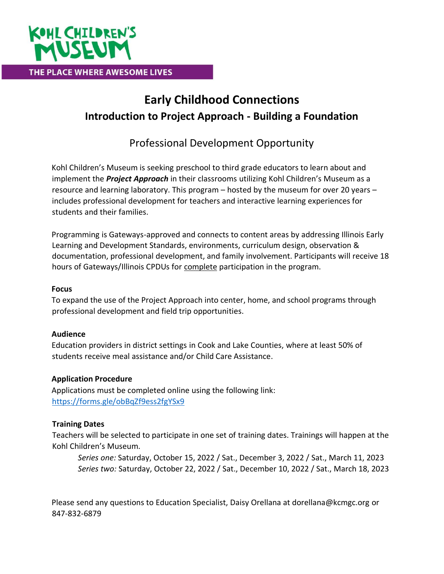

# **Early Childhood Connections Introduction to Project Approach - Building a Foundation**

Professional Development Opportunity

Kohl Children's Museum is seeking preschool to third grade educators to learn about and implement the *Project Approach* in their classrooms utilizing Kohl Children's Museum as a resource and learning laboratory. This program – hosted by the museum for over 20 years – includes professional development for teachers and interactive learning experiences for students and their families.

Programming is Gateways-approved and connects to content areas by addressing Illinois Early Learning and Development Standards, environments, curriculum design, observation & documentation, professional development, and family involvement. Participants will receive 18 hours of Gateways/Illinois CPDUs for complete participation in the program.

## **Focus**

To expand the use of the Project Approach into center, home, and school programs through professional development and field trip opportunities.

# **Audience**

Education providers in district settings in Cook and Lake Counties, where at least 50% of students receive meal assistance and/or Child Care Assistance.

### **Application Procedure**

Applications must be completed online using the following link: <https://forms.gle/obBqZf9ess2fgYSx9>

# **Training Dates**

Teachers will be selected to participate in one set of training dates. Trainings will happen at the Kohl Children's Museum.

*Series one:* Saturday, October 15, 2022 / Sat., December 3, 2022 / Sat., March 11, 2023 *Series two:* Saturday, October 22, 2022 / Sat., December 10, 2022 / Sat., March 18, 2023

Please send any questions to Education Specialist, Daisy Orellana at dorellana@kcmgc.org or 847-832-6879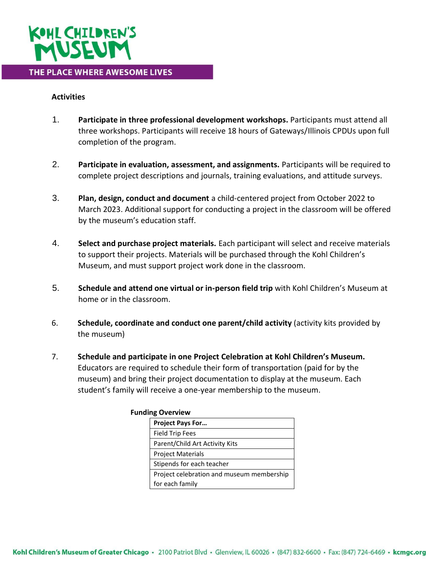

### **Activities**

- 1. **Participate in three professional development workshops.** Participants must attend all three workshops. Participants will receive 18 hours of Gateways/Illinois CPDUs upon full completion of the program.
- 2. **Participate in evaluation, assessment, and assignments.** Participants will be required to complete project descriptions and journals, training evaluations, and attitude surveys.
- 3. **Plan, design, conduct and document** a child-centered project from October 2022 to March 2023. Additional support for conducting a project in the classroom will be offered by the museum's education staff.
- 4. **Select and purchase project materials.** Each participant will select and receive materials to support their projects. Materials will be purchased through the Kohl Children's Museum, and must support project work done in the classroom.
- 5. **Schedule and attend one virtual or in-person field trip** with Kohl Children's Museum at home or in the classroom.
- 6. **Schedule, coordinate and conduct one parent/child activity** (activity kits provided by the museum)
- 7. **Schedule and participate in one Project Celebration at Kohl Children's Museum.**  Educators are required to schedule their form of transportation (paid for by the museum) and bring their project documentation to display at the museum. Each student's family will receive a one-year membership to the museum.

|  | <b>Project Pays For</b>                   |
|--|-------------------------------------------|
|  | <b>Field Trip Fees</b>                    |
|  | Parent/Child Art Activity Kits            |
|  | <b>Project Materials</b>                  |
|  | Stipends for each teacher                 |
|  | Project celebration and museum membership |
|  | for each family                           |

#### **Funding Overview**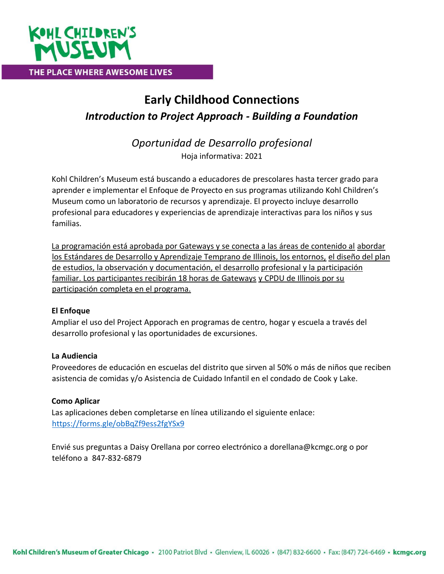

# **Early Childhood Connections**  *Introduction to Project Approach - Building a Foundation*

*Oportunidad de Desarrollo profesional*  Hoja informativa: 2021

Kohl Children's Museum está buscando a educadores de prescolares hasta tercer grado para aprender e implementar el Enfoque de Proyecto en sus programas utilizando Kohl Children's Museum como un laboratorio de recursos y aprendizaje. El proyecto incluye desarrollo profesional para educadores y experiencias de aprendizaje interactivas para los niños y sus familias.

La programación está aprobada por Gateways y se conecta a las áreas de contenido al abordar los Estándares de Desarrollo y Aprendizaje Temprano de Illinois, los entornos, el diseño del plan de estudios, la observación y documentación, el desarrollo profesional y la participación familiar. Los participantes recibirán 18 horas de Gateways y CPDU de Illinois por su participación completa en el programa.

### **El Enfoque**

Ampliar el uso del Project Apporach en programas de centro, hogar y escuela a través del desarrollo profesional y las oportunidades de excursiones.

### **La Audiencia**

Proveedores de educación en escuelas del distrito que sirven al 50% o más de niños que reciben asistencia de comidas y/o Asistencia de Cuidado Infantil en el condado de Cook y Lake.

### **Como Aplicar**

Las aplicaciones deben completarse en línea utilizando el siguiente enlace: <https://forms.gle/obBqZf9ess2fgYSx9>

Envié sus preguntas a Daisy Orellana por correo electrónico a dorellana@kcmgc.org o por teléfono a 847-832-6879